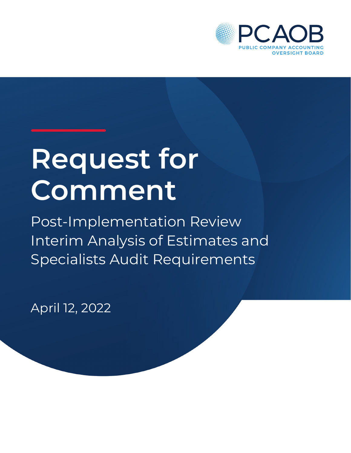

# **Request for Comment**

Post-Implementation Review Interim Analysis of Estimates and Specialists Audit Requirements

April 12, 2022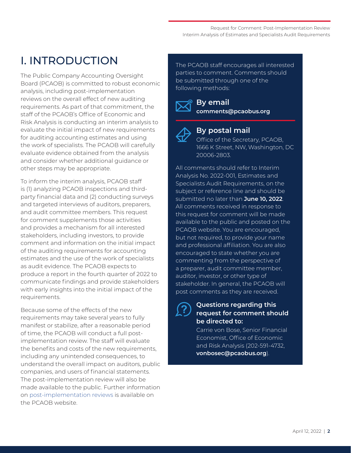# I. INTRODUCTION

The Public Company Accounting Oversight Board (PCAOB) is committed to robust economic analysis, including post-implementation reviews on the overall effect of new auditing requirements. As part of that commitment, the staff of the PCAOB's Office of Economic and Risk Analysis is conducting an interim analysis to evaluate the initial impact of new requirements for auditing accounting estimates and using the work of specialists. The PCAOB will carefully evaluate evidence obtained from the analysis and consider whether additional guidance or other steps may be appropriate.

To inform the interim analysis, PCAOB staff is (1) analyzing PCAOB inspections and thirdparty financial data and (2) conducting surveys and targeted interviews of auditors, preparers, and audit committee members. This request for comment supplements those activities and provides a mechanism for all interested stakeholders, including investors, to provide comment and information on the initial impact of the auditing requirements for accounting estimates and the use of the work of specialists as audit evidence. The PCAOB expects to produce a report in the fourth quarter of 2022 to communicate findings and provide stakeholders with early insights into the initial impact of the requirements.

Because some of the effects of the new requirements may take several years to fully manifest or stabilize, after a reasonable period of time, the PCAOB will conduct a full postimplementation review. The staff will evaluate the benefits and costs of the new requirements, including any unintended consequences, to understand the overall impact on auditors, public companies, and users of financial statements. The post-implementation review will also be made available to the public. Further information on [post-implementation reviews](https://pcaobus.org/EconomicAndRiskAnalysis/pir/Pages/default.aspx) is available on the PCAOB website.

The PCAOB staff encourages all interested parties to comment. Comments should be submitted through one of the following methods:



**By email [comments@pcaobus.org](mailto:comments%40pcaobus.org%20?subject=PCAOB%20No.%202022-001%20-%20Request%20for%20Public%20Comment-%20Impact%20of%20Auditing%20Requirements%20Related%20to%20Estimates%20and%20Specialists)**



#### **By postal mail**

Office of the Secretary, PCAOB, 1666 K Street, NW, Washington, DC 20006-2803.

All comments should refer to Interim Analysis No. 2022-001, Estimates and Specialists Audit Requirements, on the subject or reference line and should be submitted no later than **June 10, 2022**. All comments received in response to this request for comment will be made available to the public and posted on the PCAOB website. You are encouraged, but not required, to provide your name and professional affiliation. You are also encouraged to state whether you are commenting from the perspective of a preparer, audit committee member, auditor, investor, or other type of stakeholder. In general, the PCAOB will post comments as they are received.

#### **Questions regarding this request for comment should be directed to:**

Carrie von Bose, Senior Financial Economist, Office of Economic and Risk Analysis (202-591-4732, **[vonbosec@pcaobus.org](mailto:vonbosec@pcaobus.org)**).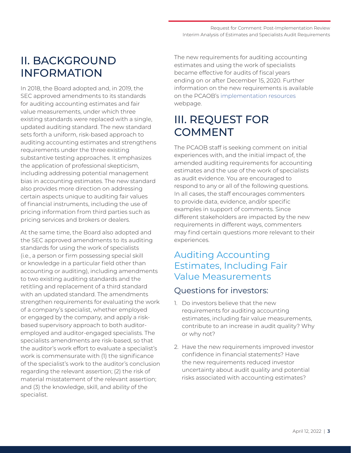# II. BACKGROUND INFORMATION

In 2018, the Board adopted and, in 2019, the SEC approved amendments to its standards for auditing accounting estimates and fair value measurements, under which three existing standards were replaced with a single, updated auditing standard. The new standard sets forth a uniform, risk-based approach to auditing accounting estimates and strengthens requirements under the three existing substantive testing approaches. It emphasizes the application of professional skepticism, including addressing potential management bias in accounting estimates. The new standard also provides more direction on addressing certain aspects unique to auditing fair values of financial instruments, including the use of pricing information from third parties such as pricing services and brokers or dealers.

At the same time, the Board also adopted and the SEC approved amendments to its auditing standards for using the work of specialists (i.e., a person or firm possessing special skill or knowledge in a particular field other than accounting or auditing), including amendments to two existing auditing standards and the retitling and replacement of a third standard with an updated standard. The amendments strengthen requirements for evaluating the work of a company's specialist, whether employed or engaged by the company, and apply a riskbased supervisory approach to both auditoremployed and auditor-engaged specialists. The specialists amendments are risk-based, so that the auditor's work effort to evaluate a specialist's work is commensurate with (1) the significance of the specialist's work to the auditor's conclusion regarding the relevant assertion; (2) the risk of material misstatement of the relevant assertion; and (3) the knowledge, skill, and ability of the specialist.

The new requirements for auditing accounting estimates and using the work of specialists became effective for audits of fiscal years ending on or after December 15, 2020. Further information on the new requirements is available on the PCAOB's [implementation resources](https://pcaobus.org/oversight/standards/implementation-resources-PCAOB-standards-rules) webpage.

# III. REQUEST FOR COMMENT

The PCAOB staff is seeking comment on initial experiences with, and the initial impact of, the amended auditing requirements for accounting estimates and the use of the work of specialists as audit evidence. You are encouraged to respond to any or all of the following questions. In all cases, the staff encourages commenters to provide data, evidence, and/or specific examples in support of comments. Since different stakeholders are impacted by the new requirements in different ways, commenters may find certain questions more relevant to their experiences.

# Auditing Accounting Estimates, Including Fair Value Measurements

## Questions for investors:

- 1. Do investors believe that the new requirements for auditing accounting estimates, including fair value measurements, contribute to an increase in audit quality? Why or why not?
- 2. Have the new requirements improved investor confidence in financial statements? Have the new requirements reduced investor uncertainty about audit quality and potential risks associated with accounting estimates?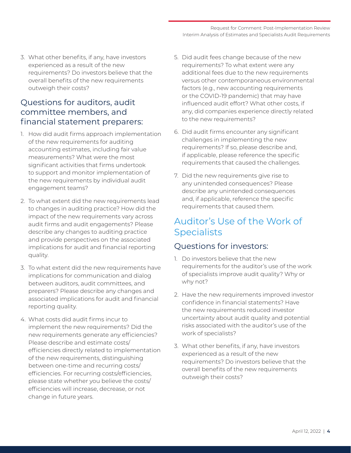Request for Comment: Post-Implementation Review Interim Analysis of Estimates and Specialists Audit Requirements

3. What other benefits, if any, have investors experienced as a result of the new requirements? Do investors believe that the overall benefits of the new requirements outweigh their costs?

## Questions for auditors, audit committee members, and financial statement preparers:

- 1. How did audit firms approach implementation of the new requirements for auditing accounting estimates, including fair value measurements? What were the most significant activities that firms undertook to support and monitor implementation of the new requirements by individual audit engagement teams?
- 2. To what extent did the new requirements lead to changes in auditing practice? How did the impact of the new requirements vary across audit firms and audit engagements? Please describe any changes to auditing practice and provide perspectives on the associated implications for audit and financial reporting quality.
- 3. To what extent did the new requirements have implications for communication and dialog between auditors, audit committees, and preparers? Please describe any changes and associated implications for audit and financial reporting quality.
- 4. What costs did audit firms incur to implement the new requirements? Did the new requirements generate any efficiencies? Please describe and estimate costs/ efficiencies directly related to implementation of the new requirements, distinguishing between one-time and recurring costs/ efficiencies. For recurring costs/efficiencies, please state whether you believe the costs/ efficiencies will increase, decrease, or not change in future years.
- 5. Did audit fees change because of the new requirements? To what extent were any additional fees due to the new requirements versus other contemporaneous environmental factors (e.g., new accounting requirements or the COVID-19 pandemic) that may have influenced audit effort? What other costs, if any, did companies experience directly related to the new requirements?
- 6. Did audit firms encounter any significant challenges in implementing the new requirements? If so, please describe and, if applicable, please reference the specific requirements that caused the challenges.
- 7. Did the new requirements give rise to any unintended consequences? Please describe any unintended consequences and, if applicable, reference the specific requirements that caused them.

# Auditor's Use of the Work of **Specialists**

### Questions for investors:

- 1. Do investors believe that the new requirements for the auditor's use of the work of specialists improve audit quality? Why or why not?
- 2. Have the new requirements improved investor confidence in financial statements? Have the new requirements reduced investor uncertainty about audit quality and potential risks associated with the auditor's use of the work of specialists?
- 3. What other benefits, if any, have investors experienced as a result of the new requirements? Do investors believe that the overall benefits of the new requirements outweigh their costs?